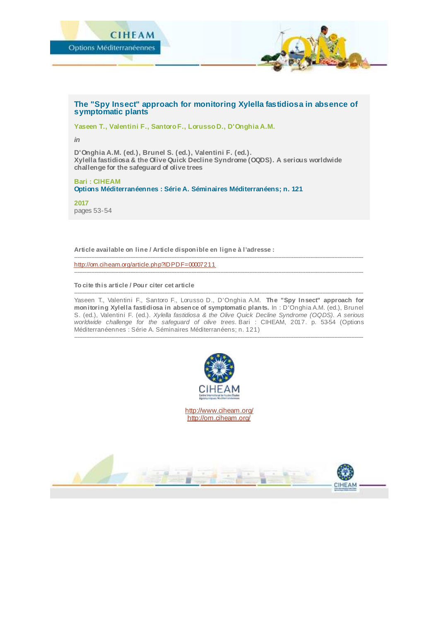

## **The "Spy Insect" approach for monitoring Xylella fastidiosa in absence of symptomatic plants**

**Yaseen T., Valentini F., Santoro F., Lorusso D., D'Onghia A.M.**

*in*

**D'Onghia A.M. (ed.), Brunel S. (ed.), Valentini F. (ed.). Xylella fastidiosa & the Olive Quick Decline Syndrome (OQDS). A serious worldwide challenge for the safeguard of olive trees**

**Bari : CIHEAM Options Méditerranéennes : Série A. Séminaires Méditerranéens; n. 121**

**2017** pages 53-54

**Article available on line / Article disponible en ligne à l'adresse :**

------------------------------------------------------------------------------------------------------------------------------------------------------------------------- <http://om.ciheam.org/article.php?IDPDF=00007211>

**To cite this article / Pour citer cet article**

-------------------------------------------------------------------------------------------------------------------------------------------------------------------------- Yaseen T., Valentini F., Santoro F., Lorusso D., D'Onghia A.M. **The "Spy Insect" approach for monitoring Xylella fastidiosa in absence of symptomatic plants.** In : D'Onghia A.M. (ed.), Brunel S. (ed.), Valentini F. (ed.). *Xylella fastidiosa & the Olive Quick Decline Syndrome (OQDS). A serious worldwide challenge for the safeguard of olive trees.* Bari : CIHEAM, 2017. p. 53-54 (Options Méditerranéennes : Série A. Séminaires Méditerranéens; n. 121)

--------------------------------------------------------------------------------------------------------------------------------------------------------------------------

--------------------------------------------------------------------------------------------------------------------------------------------------------------------------



<http://www.ciheam.org/> <http://om.ciheam.org/>

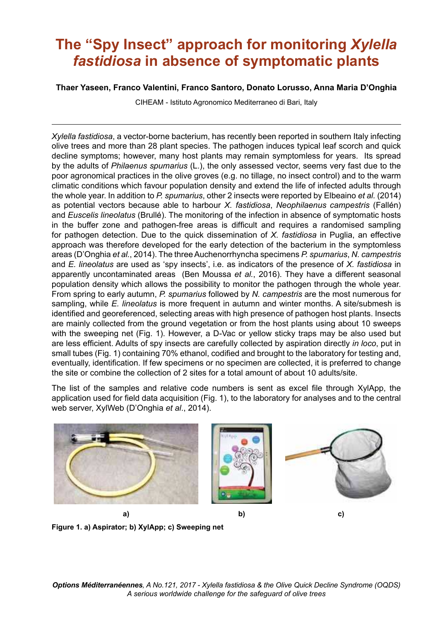## **The "Spy Insect" approach for monitoring Xylella** *fastidiosa* **in absence of symptomatic plants**

## **Thaer Yaseen, Franco Valentini, Franco Santoro, Donato Lorusso, Anna Maria DíOnghia**

CIHEAM - Istituto Agronomico Mediterraneo di Bari, Italy

*Xylella fastidiosa*, a vector-borne bacterium, has recently been reported in southern Italy infecting olive trees and more than 28 plant species. The pathogen induces typical leaf scorch and quick decline symptoms; however, many host plants may remain symptomless for years. Its spread by the adults of *Philaenus spumarius* (L.), the only assessed vector, seems very fast due to the poor agronomical practices in the olive groves (e.g. no tillage, no insect control) and to the warm climatic conditions which favour population density and extend the life of infected adults through the whole year. In addition to *P. spumarius*, other 2 insects were reported by Elbeaino *et al.* (2014) as potential vectors because able to harbour *X. fastidiosa*, *Neophilaenus campestris* (FallÈn) and *Euscelis lineolatus* (BrullÈ). The monitoring of the infection in absence of symptomatic hosts in the buffer zone and pathogen-free areas is dificult and requires a randomised sampling for pathogen detection. Due to the quick dissemination of *X. fastidiosa* in Puglia, an effective approach was therefore developed for the early detection of the bacterium in the symptomless areas (DíOnghia *et al.*, 2014). The three Auchenorrhyncha specimens *P. spumarius*, *N. campestris* and *E. lineolatus* are used as ëspy insectsí, i.e. as indicators of the presence of *X. fastidiosa* in apparently uncontaminated areas (Ben Moussa *et al.*, 2016). They have a different seasonal population density which allows the possibility to monitor the pathogen through the whole year. From spring to early autumn, *P. spumarius* followed by *N. campestris* are the most numerous for sampling, while *E. lineolatus* is more frequent in autumn and winter months. A site/submesh is identified and georeferenced, selecting areas with high presence of pathogen host plants. Insects are mainly collected from the ground vegetation or from the host plants using about 10 sweeps with the sweeping net (Fig. 1). However, a D-Vac or yellow sticky traps may be also used but are less eficient. Adults of spy insects are carefully collected by aspiration directly *in loco*, put in small tubes (Fig. 1) containing 70% ethanol, codified and brought to the laboratory for testing and, eventually, identiication. If few specimens or no specimen are collected, it is preferred to change the site or combine the collection of 2 sites for a total amount of about 10 adults/site.

The list of the samples and relative code numbers is sent as excel ile through XylApp, the application used for ield data acquisition (Fig. 1), to the laboratory for analyses and to the central web server, XylWeb (DíOnghia *et al*., 2014).



**Figure 1. a) Aspirator; b) XylApp; c) Sweeping net**